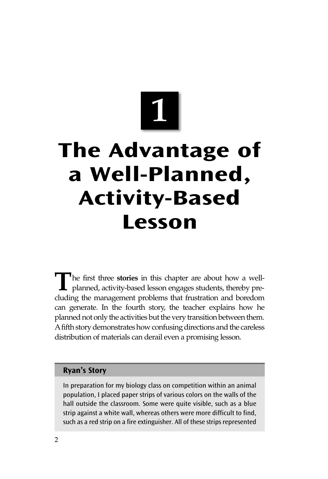# **1**

# **The Advantage of a Well-Planned, Activity-Based Lesson**

The first three **stories** in this chapter are about how a wellplanned, activity-based lesson engages students, thereby precluding the management problems that frustration and boredom can generate. In the fourth story, the teacher explains how he planned not only the activities but the very transition between them. A fifth story demonstrates how confusing directions and the careless distribution of materials can derail even a promising lesson.

## **Ryan's Story**

In preparation for my biology class on competition within an animal population, I placed paper strips of various colors on the walls of the hall outside the classroom. Some were quite visible, such as a blue strip against a white wall, whereas others were more difficult to find, such as a red strip on a fire extinguisher. All of these strips represented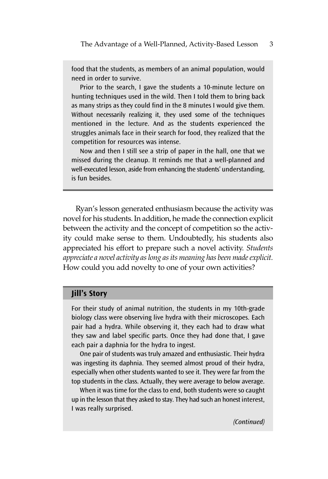food that the students, as members of an animal population, would need in order to survive.

Prior to the search, I gave the students a 10-minute lecture on hunting techniques used in the wild. Then I told them to bring back as many strips as they could find in the 8 minutes I would give them. Without necessarily realizing it, they used some of the techniques mentioned in the lecture. And as the students experienced the struggles animals face in their search for food, they realized that the competition for resources was intense.

Now and then I still see a strip of paper in the hall, one that we missed during the cleanup. It reminds me that a well-planned and well-executed lesson, aside from enhancing the students' understanding, is fun besides.

Ryan's lesson generated enthusiasm because the activity was novel for his students. In addition, he made the connection explicit between the activity and the concept of competition so the activity could make sense to them. Undoubtedly, his students also appreciated his effort to prepare such a novel activity. *Students appreciate a novel activity aslong asits meaning has been madeexplicit.* How could you add novelty to one of your own activities?

#### **Jill's Story**

For their study of animal nutrition, the students in my 10th-grade biology class were observing live hydra with their microscopes. Each pair had a hydra. While observing it, they each had to draw what they saw and label specific parts. Once they had done that, I gave each pair a daphnia for the hydra to ingest.

One pair of students was truly amazed and enthusiastic. Their hydra was ingesting its daphnia. They seemed almost proud of their hydra, especially when other students wanted to see it. They were far from the top students in the class. Actually, they were average to below average.

When it was time for the class to end, both students were so caught up in the lesson that they asked to stay. They had such an honest interest, I was really surprised.

*(Continued)*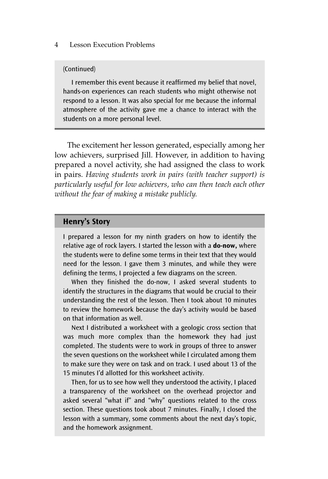#### 4——Lesson Execution Problems

#### (Continued)

I remember this event because it reaffirmed my belief that novel, hands-on experiences can reach students who might otherwise not respond to a lesson. It was also special for me because the informal atmosphere of the activity gave me a chance to interact with the students on a more personal level.

The excitement her lesson generated, especially among her low achievers, surprised Jill. However, in addition to having prepared a novel activity, she had assigned the class to work in pairs. *Having students work in pairs (with teacher support) is particularly useful for low achievers, who can then teach each other without the fear of making a mistake publicly.*

#### **Henry's Story**

I prepared a lesson for my ninth graders on how to identify the relative age of rock layers. I started the lesson with a **do-now,** where the students were to define some terms in their text that they would need for the lesson. I gave them 3 minutes, and while they were defining the terms, I projected a few diagrams on the screen.

When they finished the do-now, I asked several students to identify the structures in the diagrams that would be crucial to their understanding the rest of the lesson. Then I took about 10 minutes to review the homework because the day's activity would be based on that information as well.

Next I distributed a worksheet with a geologic cross section that was much more complex than the homework they had just completed. The students were to work in groups of three to answer the seven questions on the worksheet while I circulated among them to make sure they were on task and on track. I used about 13 of the 15 minutes I'd allotted for this worksheet activity.

Then, for us to see how well they understood the activity, I placed a transparency of the worksheet on the overhead projector and asked several "what if" and "why" questions related to the cross section. These questions took about 7 minutes. Finally, I closed the lesson with a summary, some comments about the next day's topic, and the homework assignment.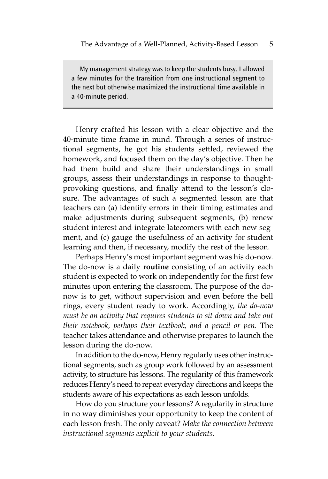My management strategy was to keep the students busy. I allowed a few minutes for the transition from one instructional segment to the next but otherwise maximized the instructional time available in a 40-minute period.

Henry crafted his lesson with a clear objective and the 40-minute time frame in mind. Through a series of instructional segments, he got his students settled, reviewed the homework, and focused them on the day's objective. Then he had them build and share their understandings in small groups, assess their understandings in response to thoughtprovoking questions, and finally attend to the lesson's closure. The advantages of such a segmented lesson are that teachers can (a) identify errors in their timing estimates and make adjustments during subsequent segments, (b) renew student interest and integrate latecomers with each new segment, and (c) gauge the usefulness of an activity for student learning and then, if necessary, modify the rest of the lesson.

Perhaps Henry's most important segment was his do-now. The do-now is a daily **routine** consisting of an activity each student is expected to work on independently for the first few minutes upon entering the classroom. The purpose of the donow is to get, without supervision and even before the bell rings, every student ready to work. Accordingly, *the do-now must be an activity that requires students to sit down and take out their notebook, perhaps their textbook, and a pencil or pen.* The teacher takes attendance and otherwise prepares to launch the lesson during the do-now.

In addition to the do-now, Henry regularly uses other instructional segments, such as group work followed by an assessment activity, to structure his lessons. The regularity of this framework reduces Henry's need to repeat everyday directions and keeps the students aware of his expectations as each lesson unfolds.

How do you structure your lessons? A regularity in structure in no way diminishes your opportunity to keep the content of each lesson fresh. The only caveat? *Make the connection between instructional segments explicit to your students.*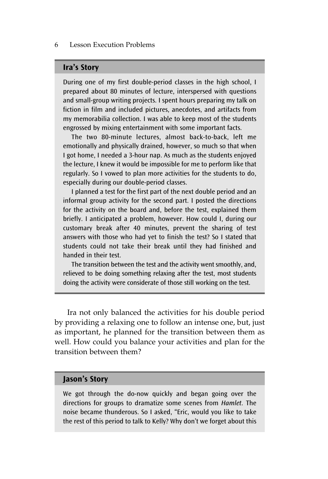#### 6——Lesson Execution Problems

#### **Ira's Story**

During one of my first double-period classes in the high school, I prepared about 80 minutes of lecture, interspersed with questions and small-group writing projects. I spent hours preparing my talk on fiction in film and included pictures, anecdotes, and artifacts from my memorabilia collection. I was able to keep most of the students engrossed by mixing entertainment with some important facts.

The two 80-minute lectures, almost back-to-back, left me emotionally and physically drained, however, so much so that when I got home, I needed a 3-hour nap. As much as the students enjoyed the lecture, I knew it would be impossible for me to perform like that regularly. So I vowed to plan more activities for the students to do, especially during our double-period classes.

I planned a test for the first part of the next double period and an informal group activity for the second part. I posted the directions for the activity on the board and, before the test, explained them briefly. I anticipated a problem, however. How could I, during our customary break after 40 minutes, prevent the sharing of test answers with those who had yet to finish the test? So I stated that students could not take their break until they had finished and handed in their test.

The transition between the test and the activity went smoothly, and, relieved to be doing something relaxing after the test, most students doing the activity were considerate of those still working on the test.

Ira not only balanced the activities for his double period by providing a relaxing one to follow an intense one, but, just as important, he planned for the transition between them as well. How could you balance your activities and plan for the transition between them?

#### **Jason's Story**

We got through the do-now quickly and began going over the directions for groups to dramatize some scenes from *Hamlet*. The noise became thunderous. So I asked, "Eric, would you like to take the rest of this period to talk to Kelly? Why don't we forget about this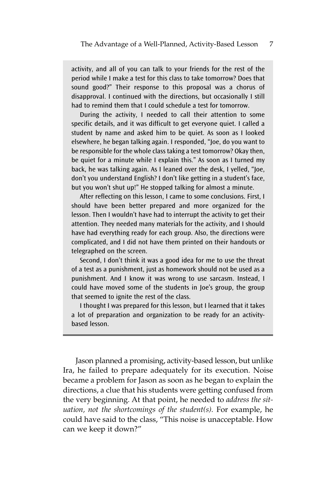activity, and all of you can talk to your friends for the rest of the period while I make a test for this class to take tomorrow? Does that sound good?" Their response to this proposal was a chorus of disapproval. I continued with the directions, but occasionally I still had to remind them that I could schedule a test for tomorrow.

During the activity, I needed to call their attention to some specific details, and it was difficult to get everyone quiet. I called a student by name and asked him to be quiet. As soon as I looked elsewhere, he began talking again. I responded, "Joe, do you want to be responsible for the whole class taking a test tomorrow? Okay then, be quiet for a minute while I explain this." As soon as I turned my back, he was talking again. As I leaned over the desk, I yelled, "Joe, don't you understand English? I don't like getting in a student's face, but you won't shut up!" He stopped talking for almost a minute.

After reflecting on this lesson, I came to some conclusions. First, I should have been better prepared and more organized for the lesson. Then I wouldn't have had to interrupt the activity to get their attention. They needed many materials for the activity, and I should have had everything ready for each group. Also, the directions were complicated, and I did not have them printed on their handouts or telegraphed on the screen.

Second, I don't think it was a good idea for me to use the threat of a test as a punishment, just as homework should not be used as a punishment. And I know it was wrong to use sarcasm. Instead, I could have moved some of the students in Joe's group, the group that seemed to ignite the rest of the class.

I thought I was prepared for this lesson, but I learned that it takes a lot of preparation and organization to be ready for an activitybased lesson.

Jason planned a promising, activity-based lesson, but unlike Ira, he failed to prepare adequately for its execution. Noise became a problem for Jason as soon as he began to explain the directions, a clue that his students were getting confused from the very beginning. At that point, he needed to *address the situation, not the shortcomings of the student(s).* For example, he could have said to the class, "This noise is unacceptable. How can we keep it down?"